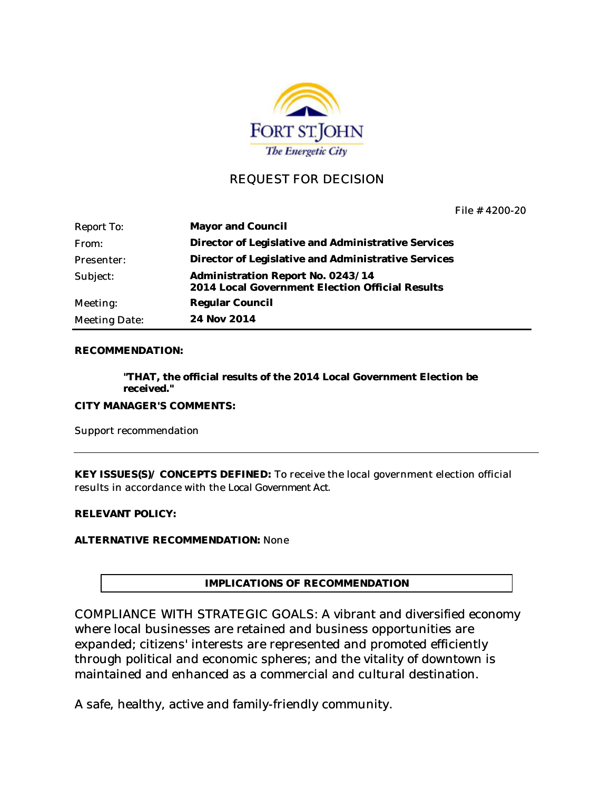

# REQUEST FOR DECISION

File # 4200-20

| <b>Report To:</b> | Mayor and Council                                                                    |
|-------------------|--------------------------------------------------------------------------------------|
| From:             | Director of Legislative and Administrative Services                                  |
| Presenter:        | Director of Legislative and Administrative Services                                  |
| Subject:          | Administration Report No. 0243/14<br>2014 Local Government Election Official Results |
| Meeting:          | <b>Regular Council</b>                                                               |
| Meeting Date:     | 24 Nov 2014                                                                          |

#### **RECOMMENDATION:**

**"THAT, the official results of the 2014 Local Government Election be received."**

**CITY MANAGER'S COMMENTS:**

Support recommendation

**KEY ISSUES(S)/ CONCEPTS DEFINED:** To receive the local government election official results in accordance with the *Local Government Act*.

**RELEVANT POLICY:** 

**ALTERNATIVE RECOMMENDATION:** None

**IMPLICATIONS OF RECOMMENDATION**

COMPLIANCE WITH STRATEGIC GOALS: A vibrant and diversified economy where local businesses are retained and business opportunities are expanded; citizens' interests are represented and promoted efficiently through political and economic spheres; and the vitality of downtown is maintained and enhanced as a commercial and cultural destination.

A safe, healthy, active and family-friendly community.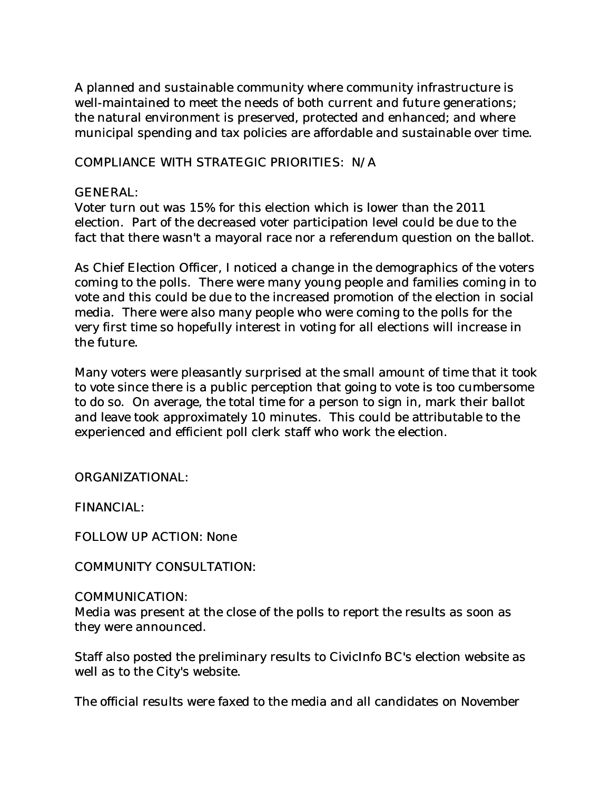A planned and sustainable community where community infrastructure is well-maintained to meet the needs of both current and future generations; the natural environment is preserved, protected and enhanced; and where municipal spending and tax policies are affordable and sustainable over time.

COMPLIANCE WITH STRATEGIC PRIORITIES: N/A

# GENERAL:

Voter turn out was 15% for this election which is lower than the 2011 election. Part of the decreased voter participation level could be due to the fact that there wasn't a mayoral race nor a referendum question on the ballot.

As Chief Election Officer, I noticed a change in the demographics of the voters coming to the polls. There were many young people and families coming in to vote and this could be due to the increased promotion of the election in social media. There were also many people who were coming to the polls for the very first time so hopefully interest in voting for all elections will increase in the future.

Many voters were pleasantly surprised at the small amount of time that it took to vote since there is a public perception that going to vote is too cumbersome to do so. On average, the total time for a person to sign in, mark their ballot and leave took approximately 10 minutes. This could be attributable to the experienced and efficient poll clerk staff who work the election.

ORGANIZATIONAL:

FINANCIAL:

FOLLOW UP ACTION: None

COMMUNITY CONSULTATION:

## COMMUNICATION:

Media was present at the close of the polls to report the results as soon as they were announced.

Staff also posted the preliminary results to CivicInfo BC's election website as well as to the City's website.

The official results were faxed to the media and all candidates on November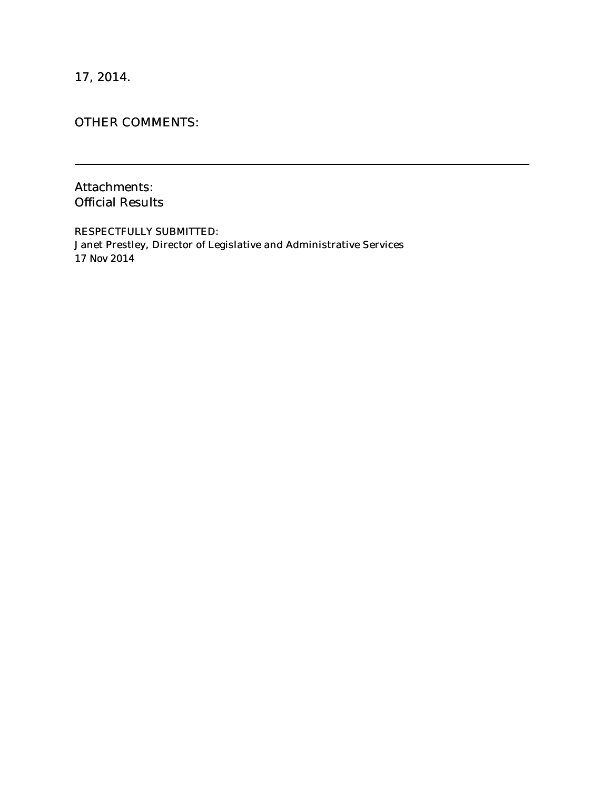17, 2014.

# OTHER COMMENTS:

Attachments: Official Results

RESPECTFULLY SUBMITTED: Janet Prestley, Director of Legislative and Administrative Services 17 Nov 2014